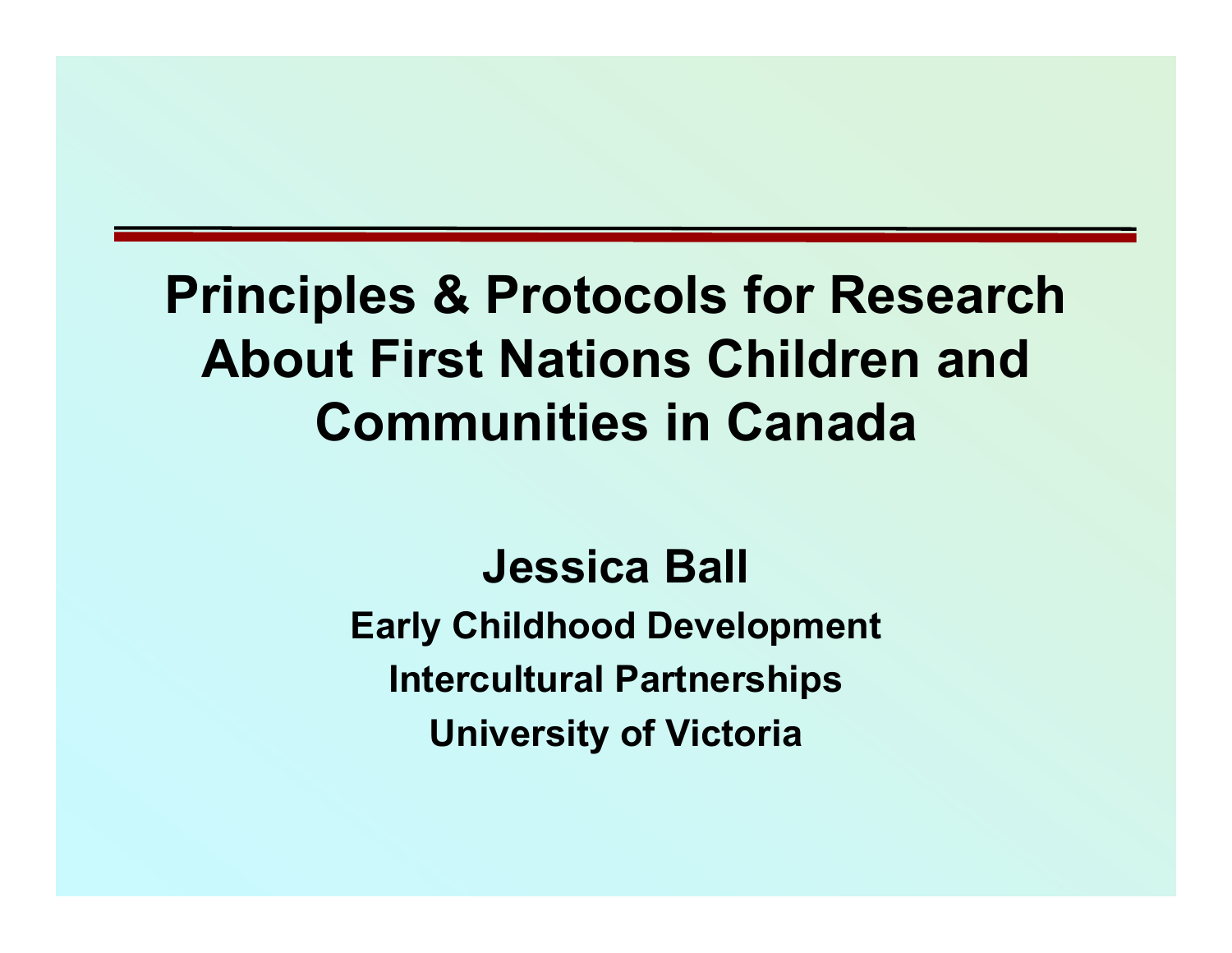## **Principles & Protocols for Research About First Nations Children and Communities in Canada**

**Jessica Ball Early Childhood Development Intercultural Partnerships University of Victoria**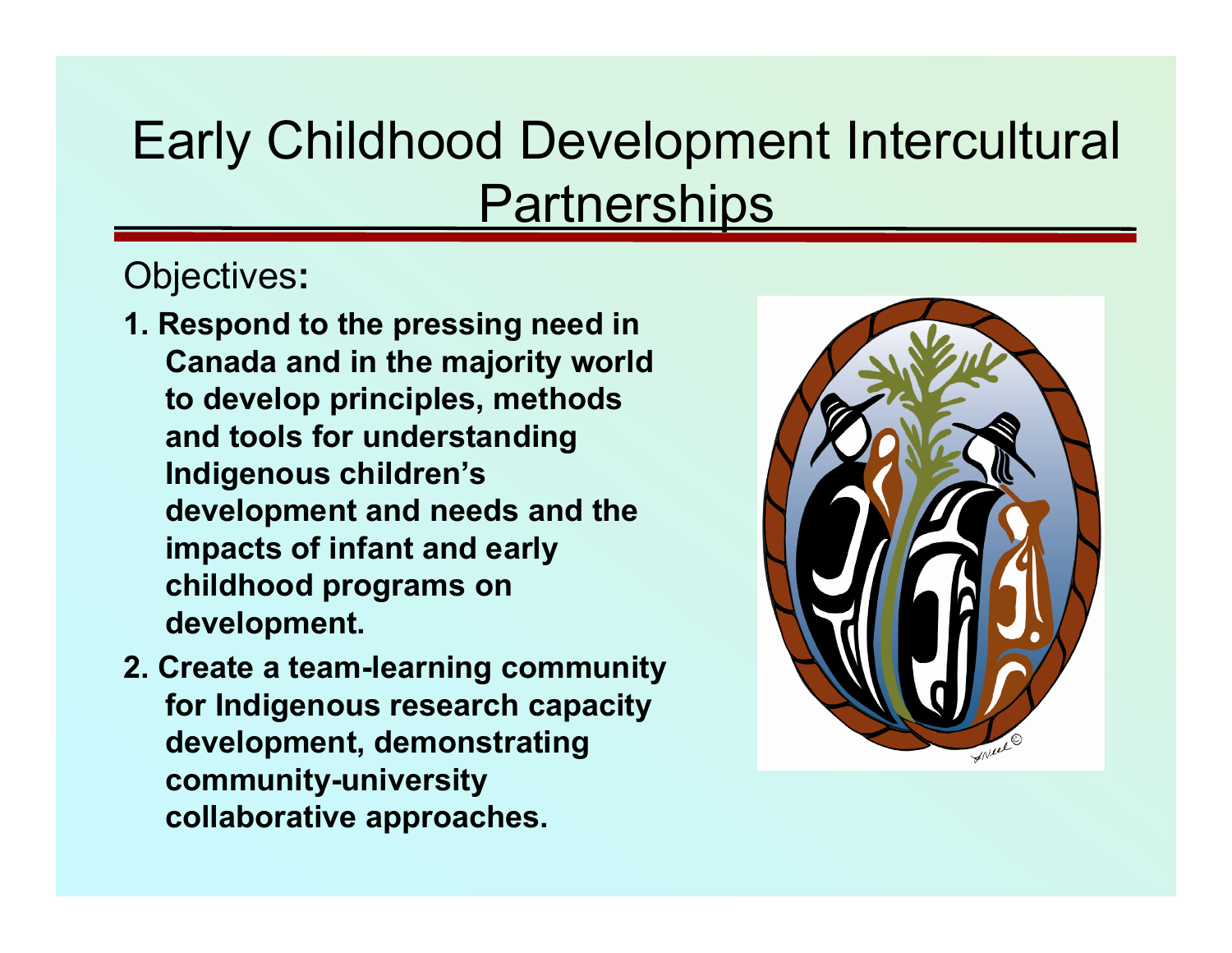# Early Childhood Development Intercultural **Partnerships**

#### Objectives**:**

- **1. Respond to the pressing need in Canada and in the majority world to develop principles, methods and tools for understanding Indigenous children's development and needs and the impacts of infant and early childhood programs on development.**
- **2. Create a team-learning community for Indigenous research capacity development, demonstrating community-university collaborative approaches.**

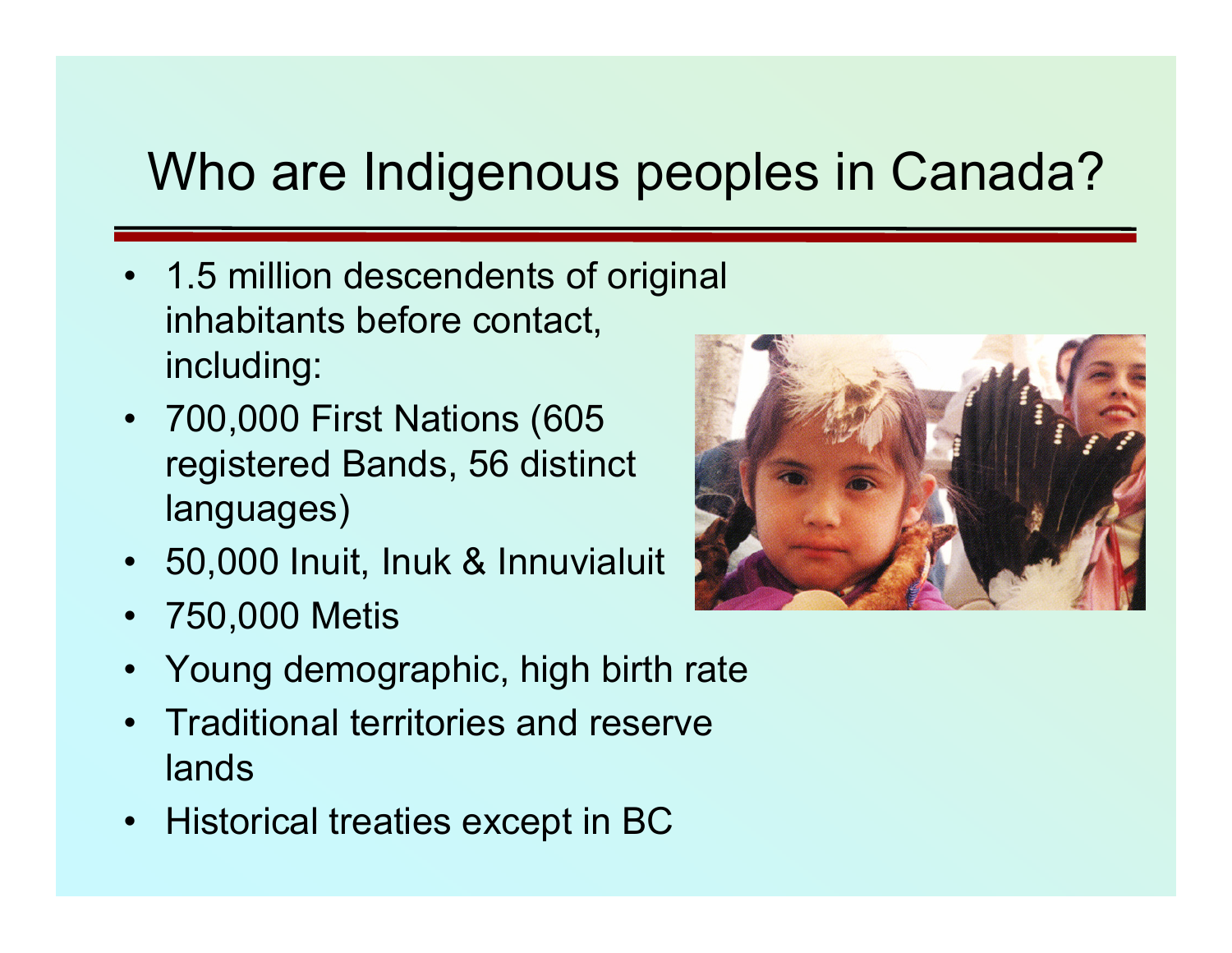## Who are Indigenous peoples in Canada?

- 1.5 million descendents of original inhabitants before contact, including:
- 700,000 First Nations (605 registered Bands, 56 distinct languages)
- 50,000 Inuit, Inuk & Innuvialuit
- •750,000 Metis



- •Young demographic, high birth rate
- • Traditional territories and reserve lands
- Historical treaties except in BC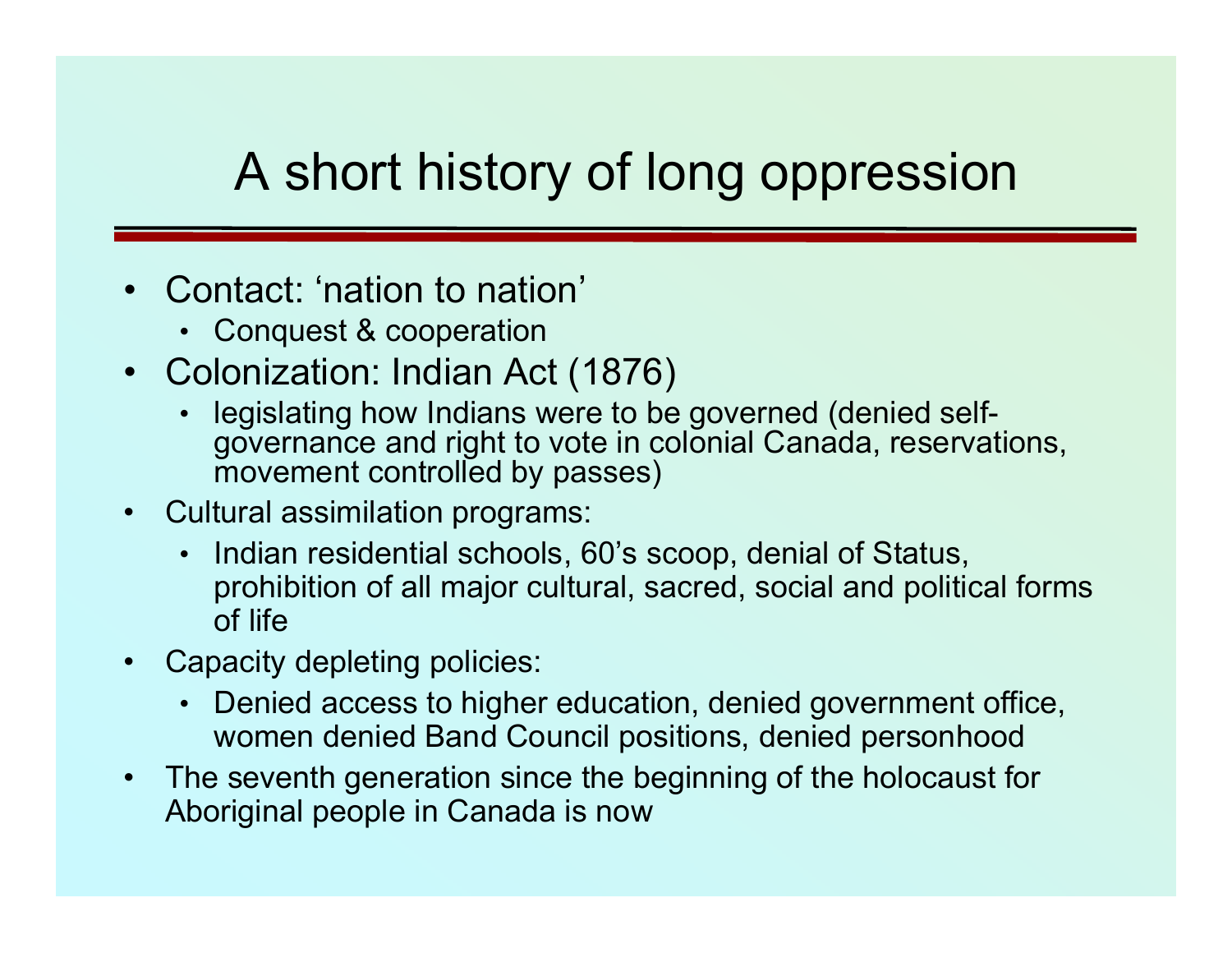## A short history of long oppression

- • Contact: 'nation to nation'
	- Conquest & cooperation
- Colonization: Indian Act (1876)
	- • legislating how Indians were to be governed (denied selfgovernance and right to vote in colonial Canada, reservations, movement controlled by passes)
- $\bullet$  Cultural assimilation programs:
	- • Indian residential schools, 60's scoop, denial of Status, prohibition of all major cultural, sacred, social and political forms of life
- • Capacity depleting policies:
	- Denied access to higher education, denied government office, women denied Band Council positions, denied personhood
- $\bullet$  The seventh generation since the beginning of the holocaust for Aboriginal people in Canada is now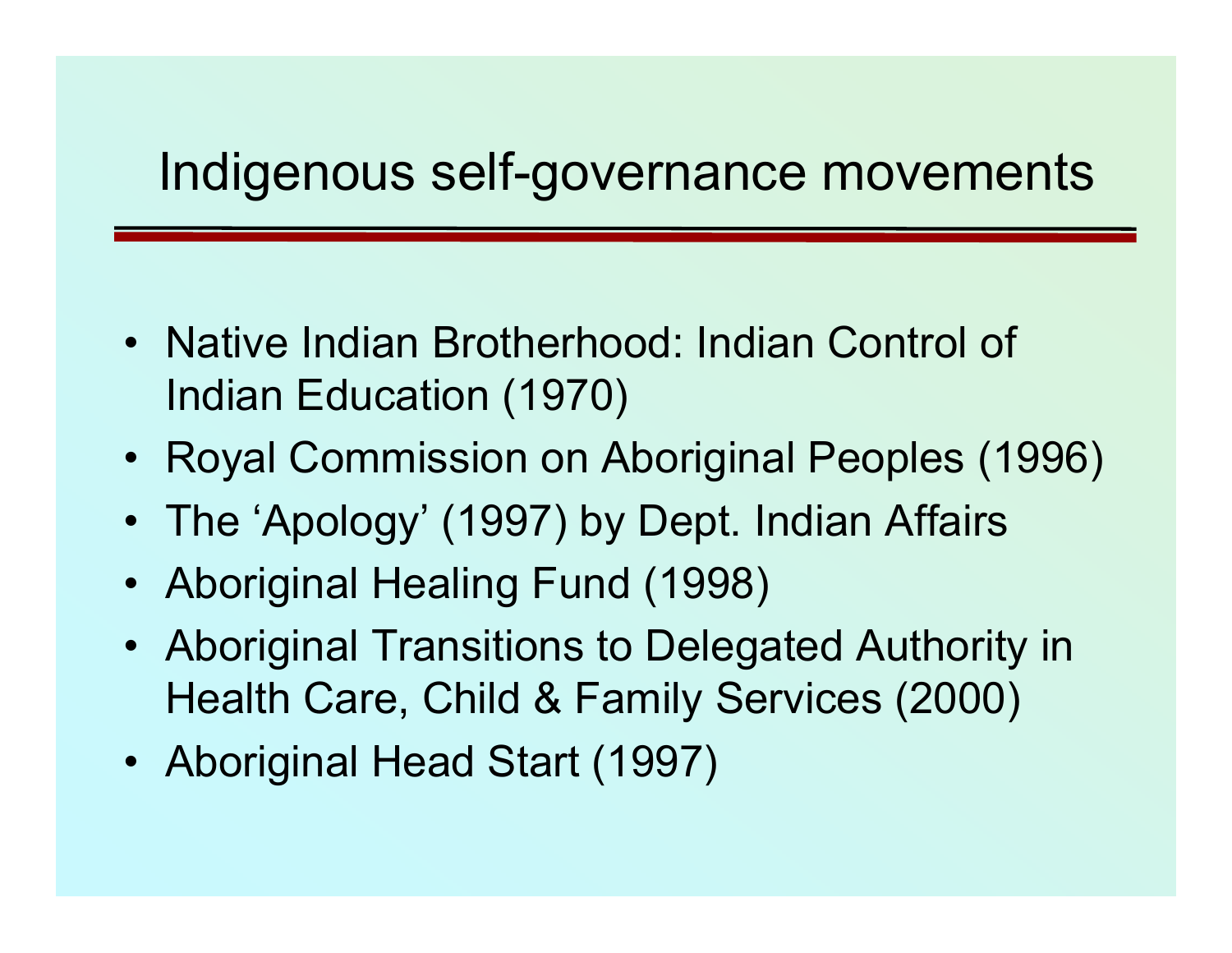#### Indigenous self-governance movements

- Native Indian Brotherhood: Indian Control of Indian Education (1970)
- Royal Commission on Aboriginal Peoples (1996)
- The 'Apology' (1997) by Dept. Indian Affairs
- Aboriginal Healing Fund (1998)
- Aboriginal Transitions to Delegated Authority in Health Care, Child & Family Services (2000)
- Aboriginal Head Start (1997)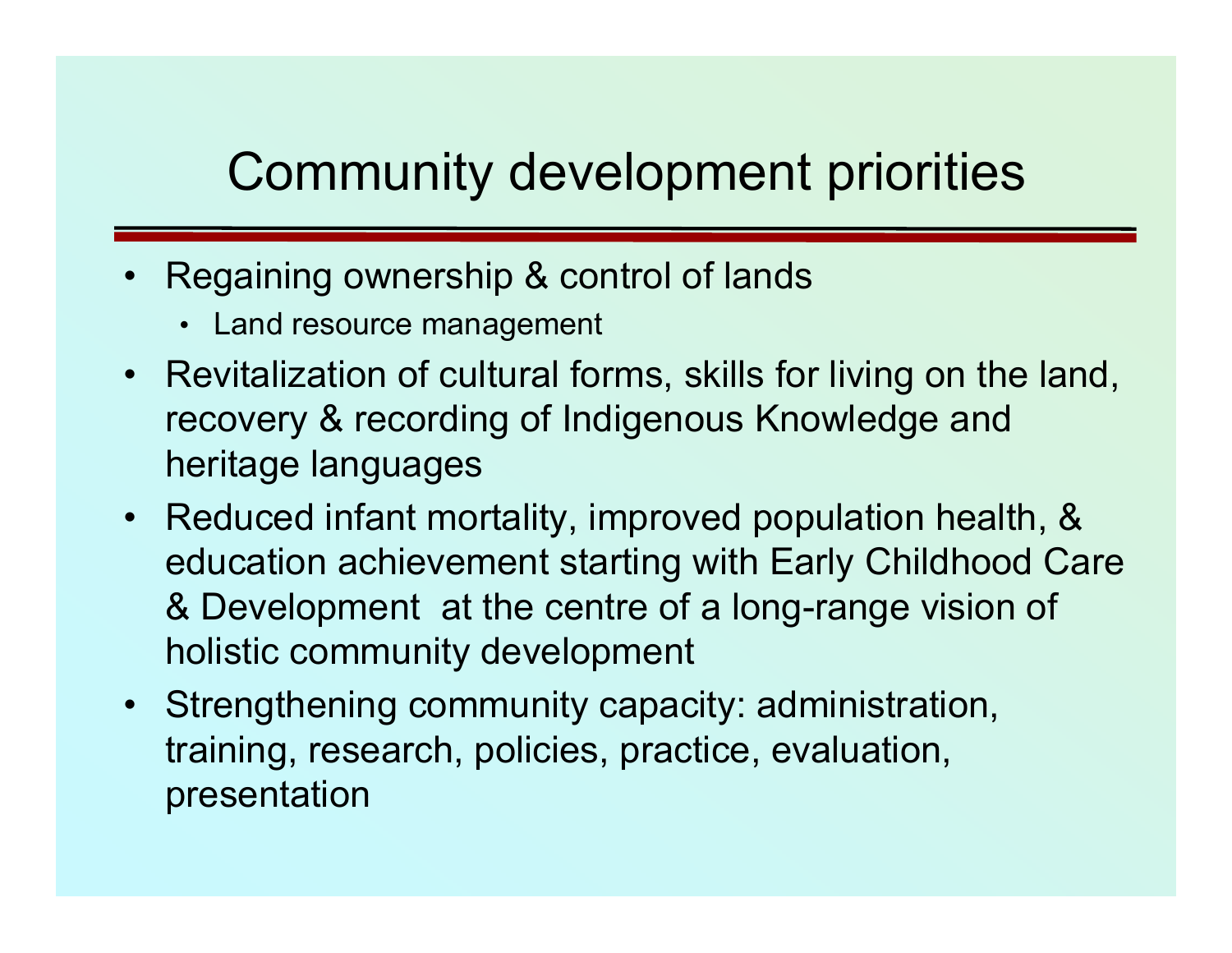## Community development priorities

- • Regaining ownership & control of lands
	- Land resource management
- Revitalization of cultural forms, skills for living on the land, recovery & recording of Indigenous Knowledge and heritage languages
- Reduced infant mortality, improved population health, & education achievement starting with Early Childhood Care & Development at the centre of a long-range vision of holistic community development
- Strengthening community capacity: administration, training, research, policies, practice, evaluation, presentation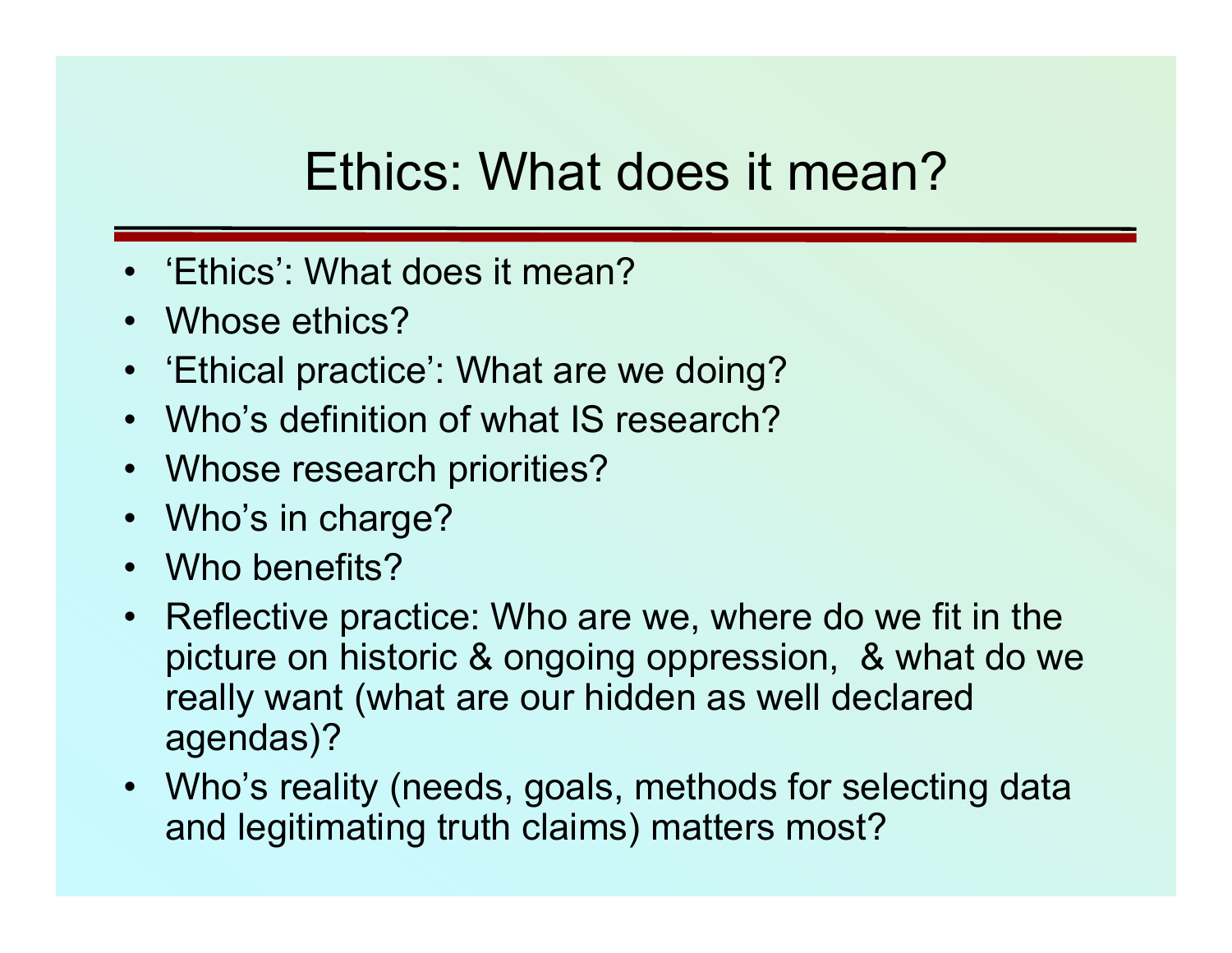## Ethics: What does it mean?

- •'Ethics': What does it mean?
- •Whose ethics?
- 'Ethical practice': What are we doing?
- •Who's definition of what IS research?
- Whose research priorities?
- Who's in charge?
- Who benefits?
- Reflective practice: Who are we, where do we fit in the picture on historic & ongoing oppression, & what do we really want (what are our hidden as well declared agendas)?
- Who's reality (needs, goals, methods for selecting data and legitimating truth claims) matters most?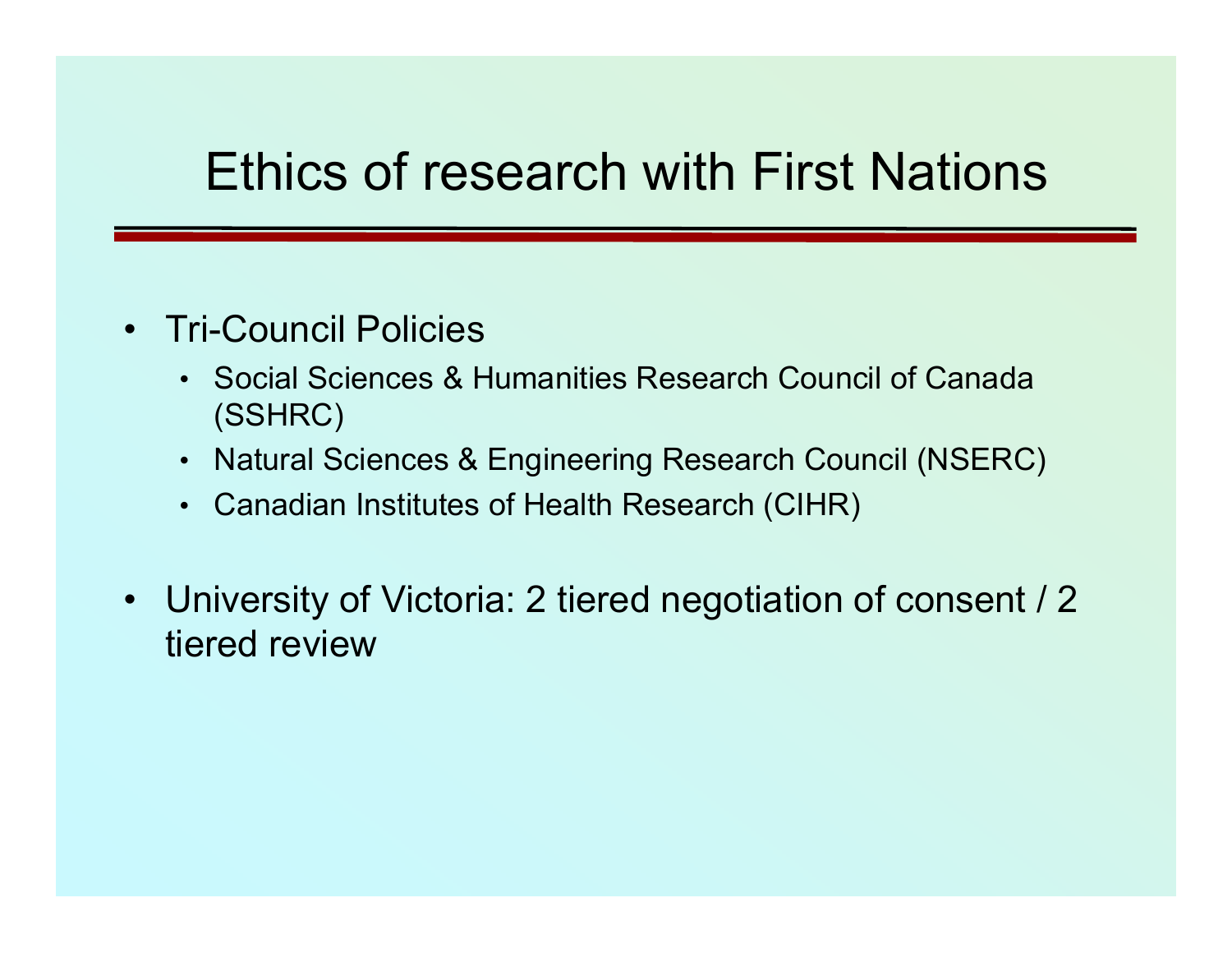#### Ethics of research with First Nations

- Tri-Council Policies
	- Social Sciences & Humanities Research Council of Canada (SSHRC)
	- Natural Sciences & Engineering Research Council (NSERC)
	- Canadian Institutes of Health Research (CIHR)
- University of Victoria: 2 tiered negotiation of consent / 2 tiered review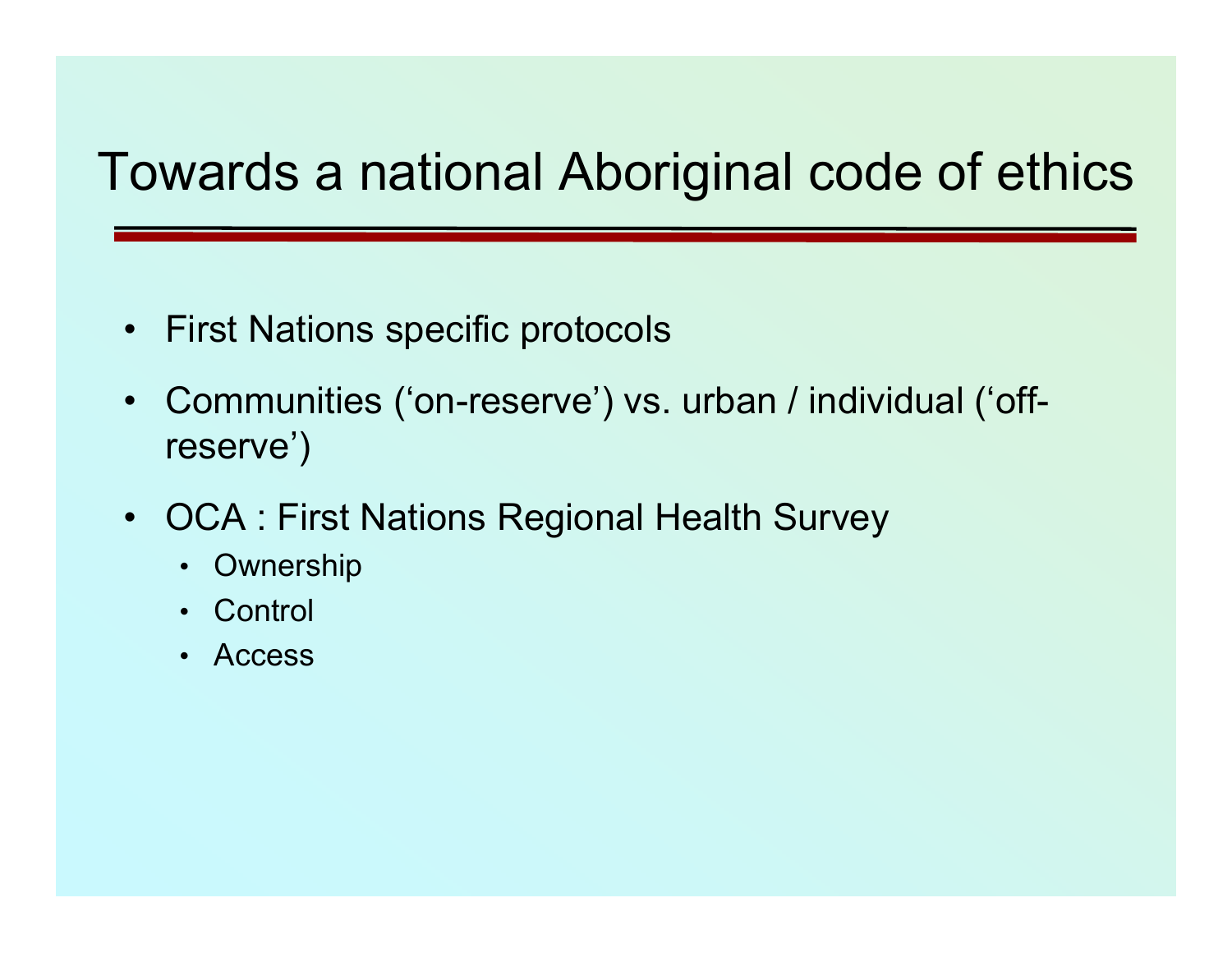## Towards a national Aboriginal code of ethics

- $\bullet$ First Nations specific protocols
- Communities ('on-reserve') vs. urban / individual ('offreserve')
- • OCA : First Nations Regional Health Survey
	- Ownership
	- Control
	- Access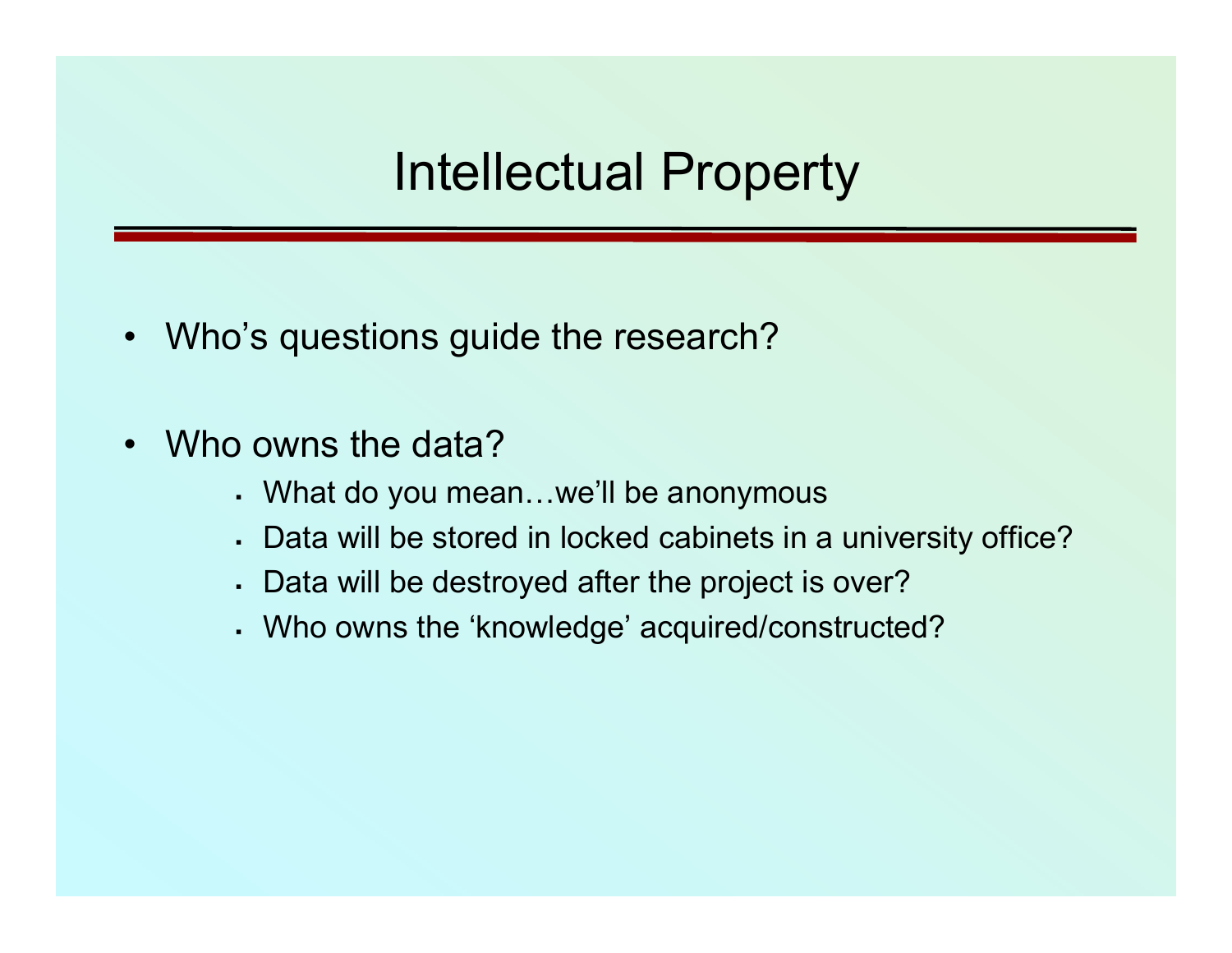#### Intellectual Property

- $\bullet$ Who's questions guide the research?
- • Who owns the data?
	- What do you mean…we'll be anonymous
	- Data will be stored in locked cabinets in a university office?
	- Data will be destroyed after the project is over?
	- Who owns the 'knowledge' acquired/constructed?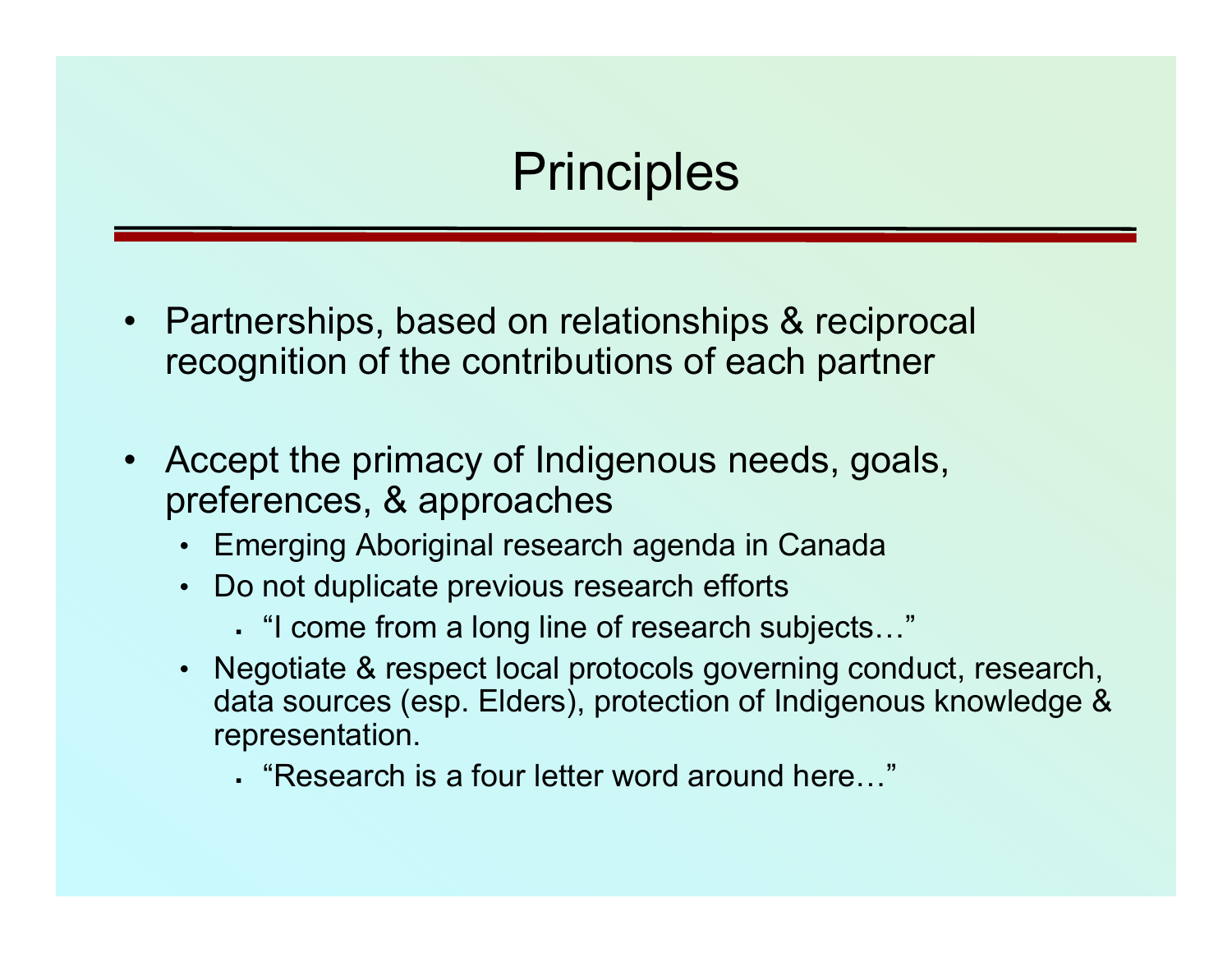#### **Principles**

- • Partnerships, based on relationships & reciprocal recognition of the contributions of each partner
- • Accept the primacy of Indigenous needs, goals, preferences, & approaches
	- Emerging Aboriginal research agenda in Canada
	- Do not duplicate previous research efforts
		- "I come from a long line of research subjects…"
	- Negotiate & respect local protocols governing conduct, research, data sources (esp. Elders), protection of Indigenous knowledge & representation.
		- "Research is a four letter word around here…"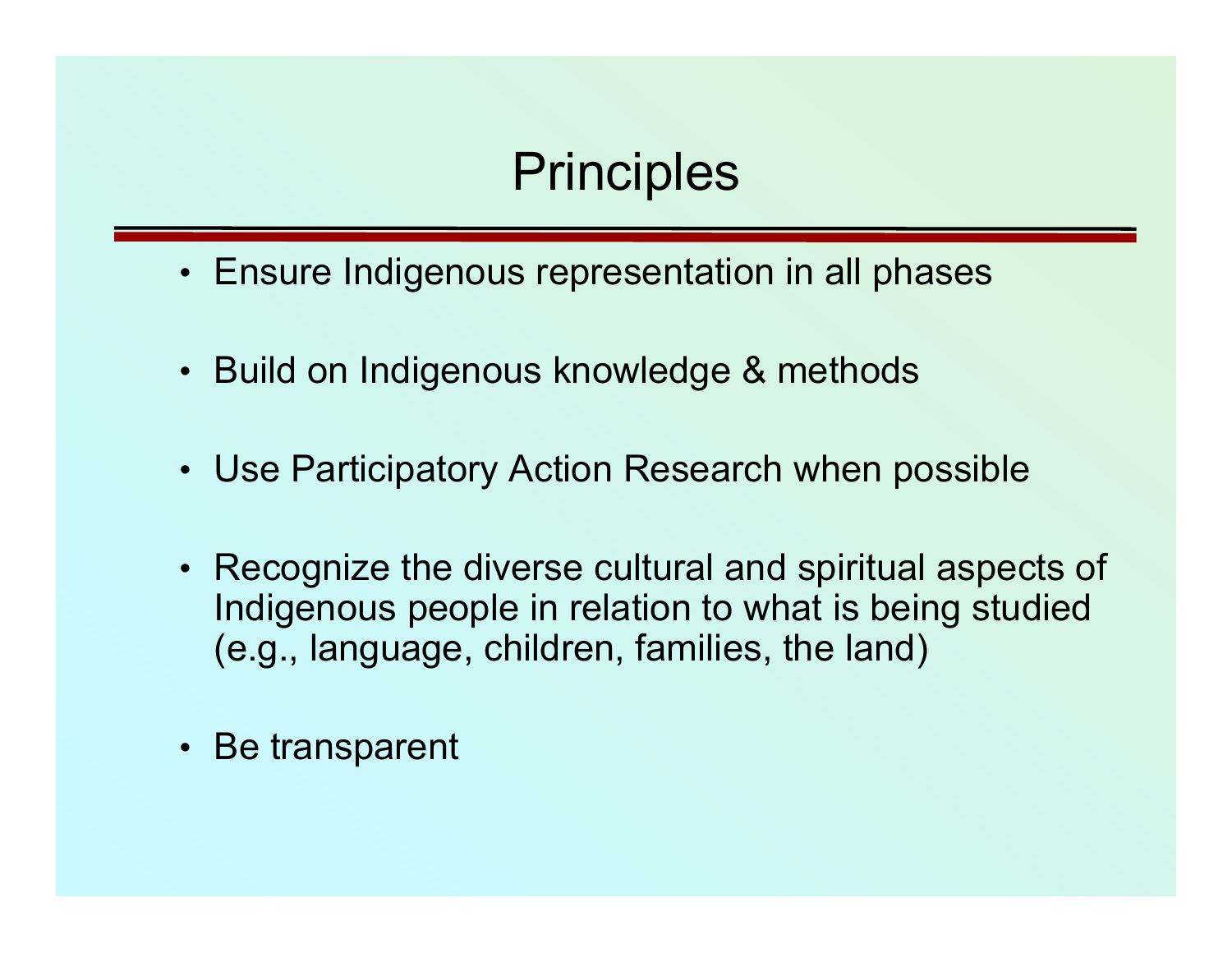### **Principles**

- Ensure Indigenous representation in all phases
- Build on Indigenous knowledge & methods
- Use Participatory Action Research when possible
- Recognize the diverse cultural and spiritual aspects of Indigenous people in relation to what is being studied (e.g., language, children, families, the land)
- Be transparent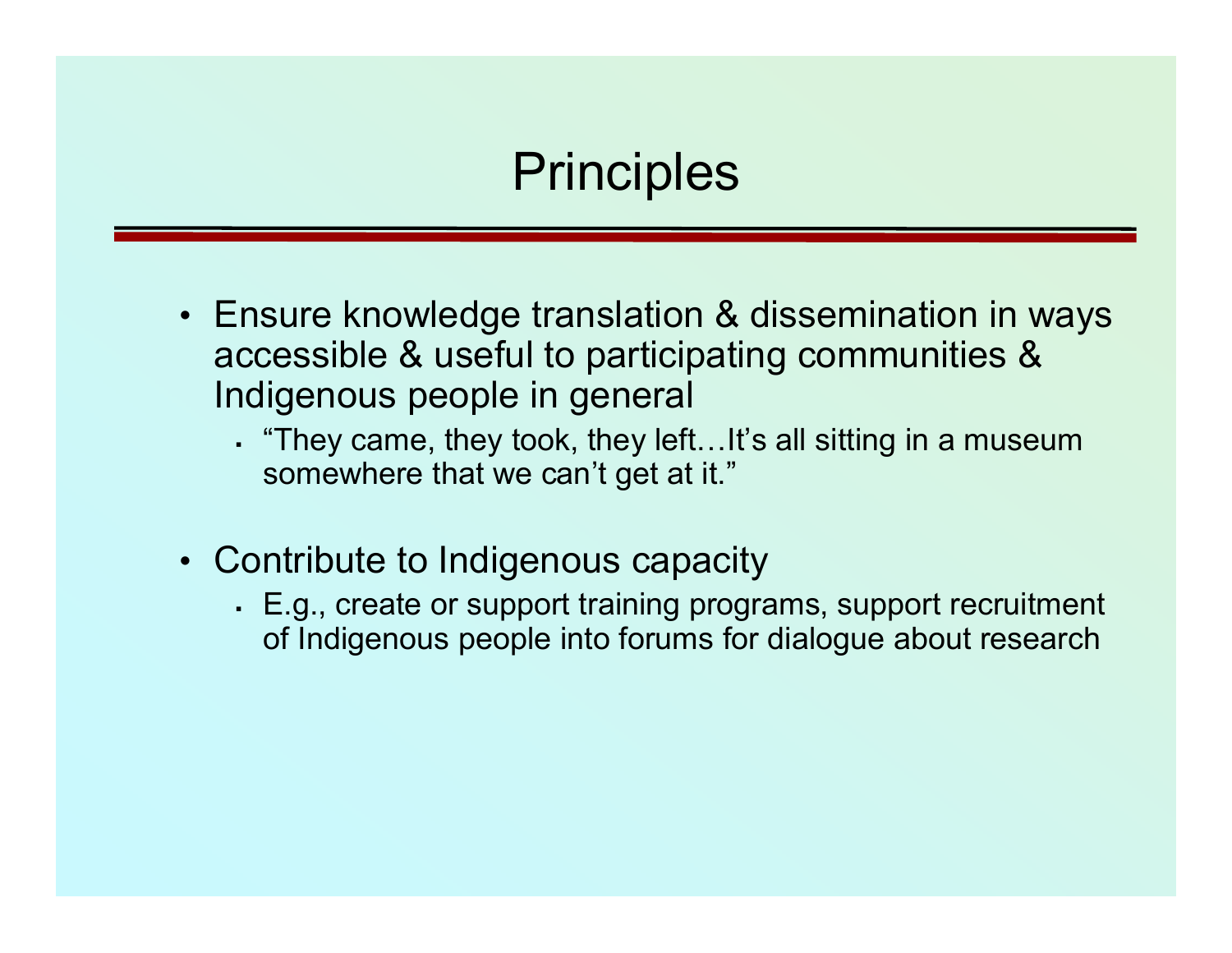#### **Principles**

- Ensure knowledge translation & dissemination in ways accessible & useful to participating communities & Indigenous people in general
	- "They came, they took, they left…It's all sitting in a museum somewhere that we can't get at it."
- Contribute to Indigenous capacity
	- E.g., create or support training programs, support recruitment of Indigenous people into forums for dialogue about research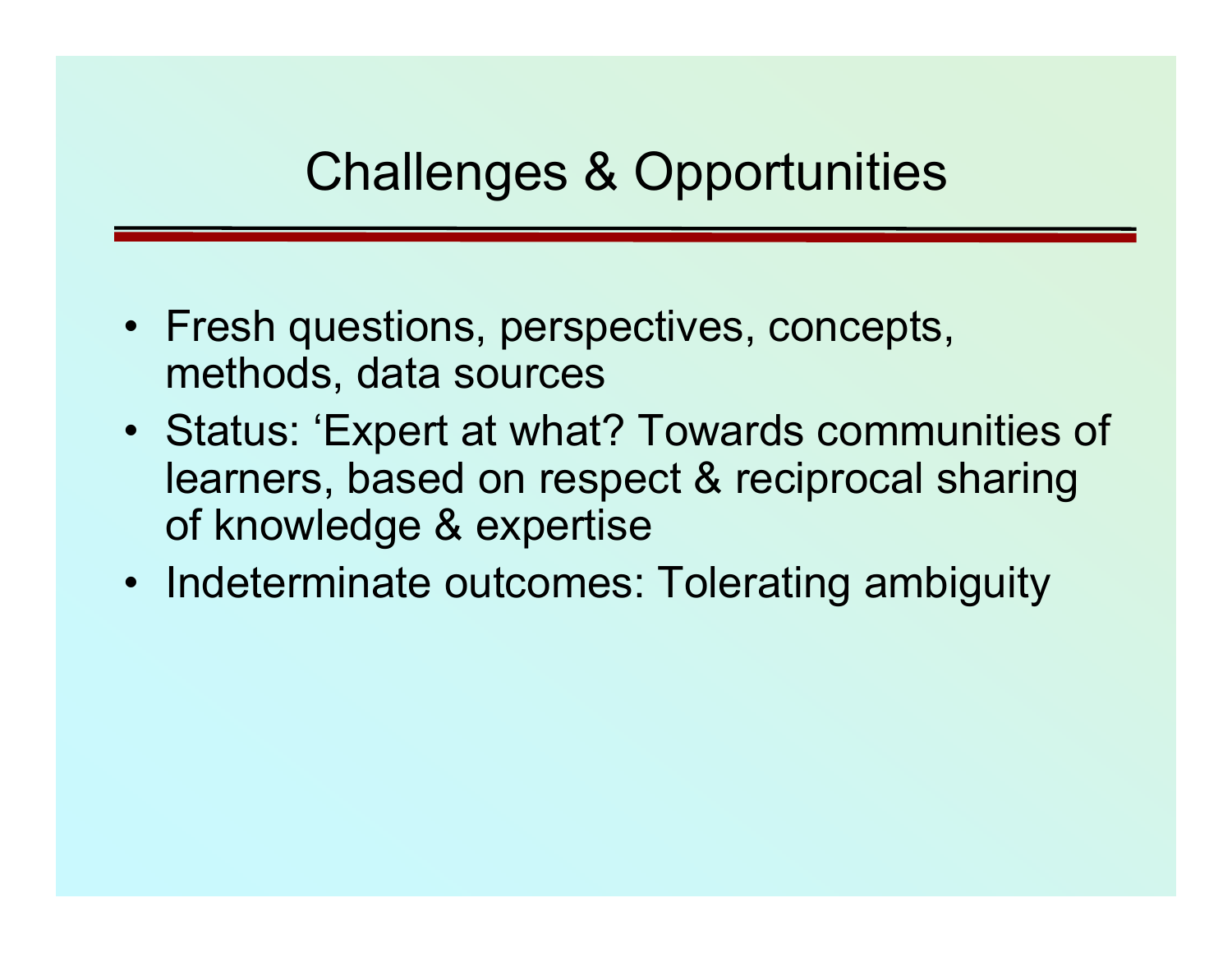#### Challenges & Opportunities

- Fresh questions, perspectives, concepts, methods, data sources
- Status: 'Expert at what? Towards communities of learners, based on respect & reciprocal sharing of knowledge & expertise
- Indeterminate outcomes: Tolerating ambiguity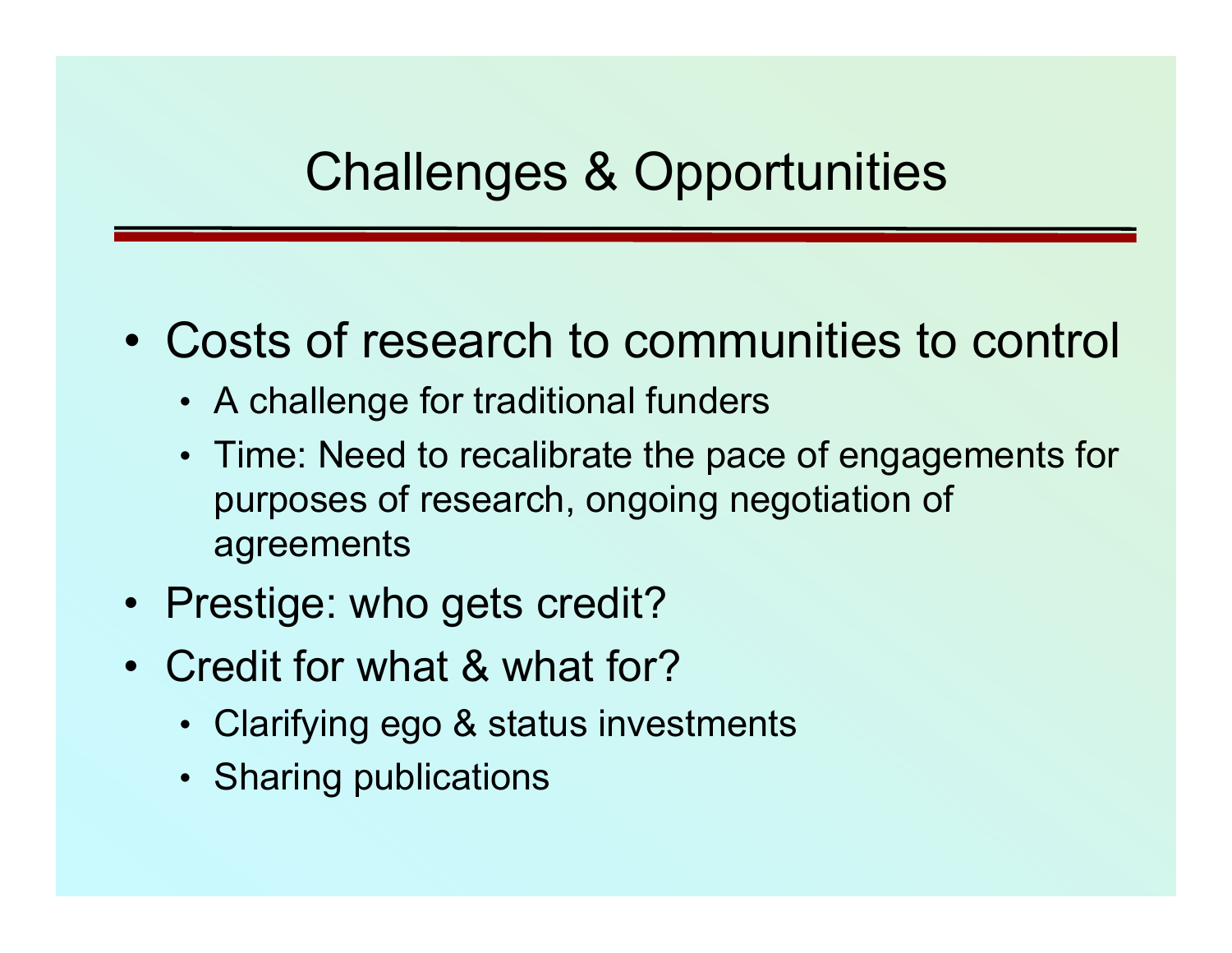### Challenges & Opportunities

- Costs of research to communities to control
	- A challenge for traditional funders
	- Time: Need to recalibrate the pace of engagements for purposes of research, ongoing negotiation of agreements
- Prestige: who gets credit?
- Credit for what & what for?
	- Clarifying ego & status investments
	- Sharing publications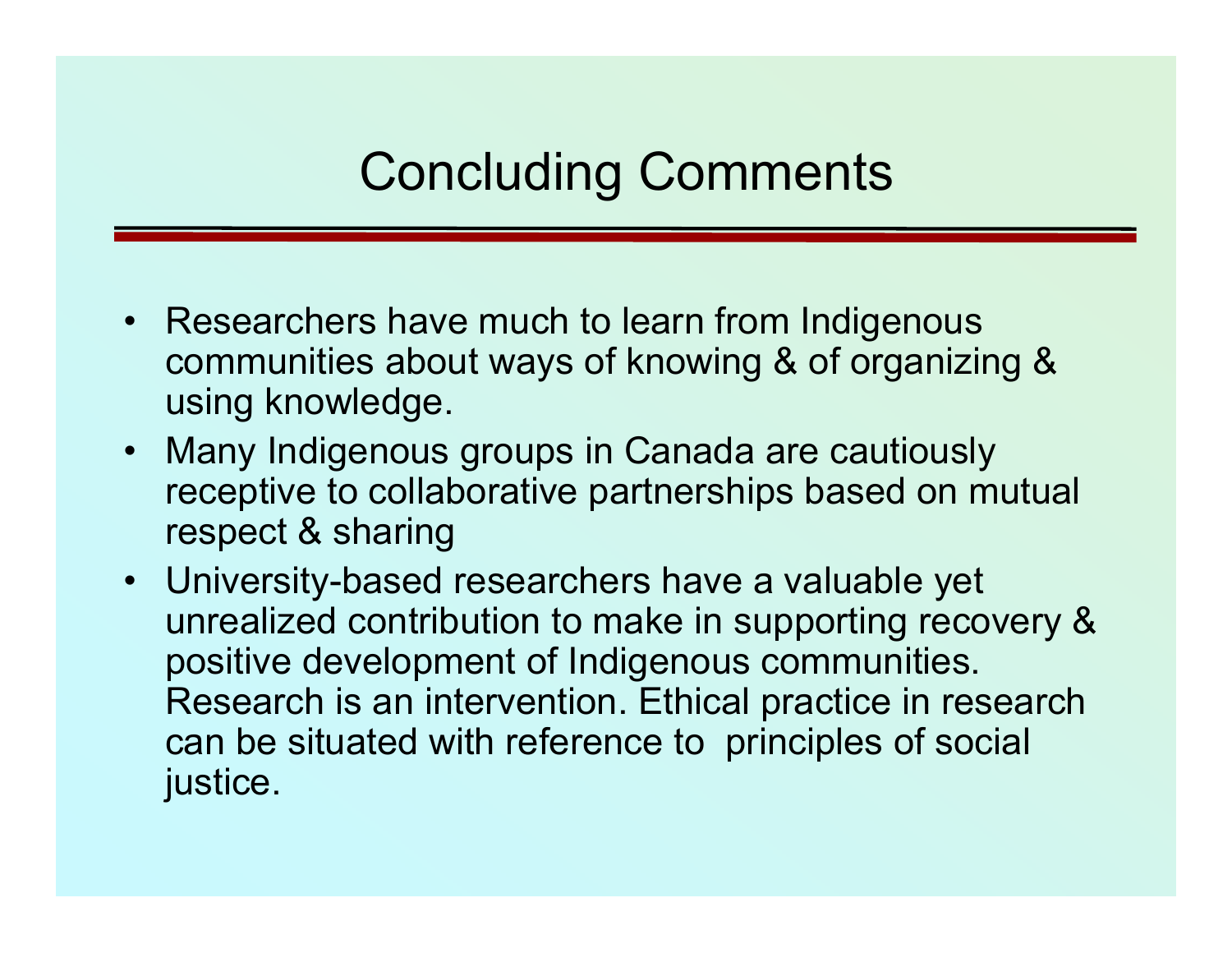## Concluding Comments

- Researchers have much to learn from Indigenous communities about ways of knowing & of organizing & using knowledge.
- Many Indigenous groups in Canada are cautiously receptive to collaborative partnerships based on mutual respect & sharing
- University-based researchers have a valuable yet unrealized contribution to make in supporting recovery & positive development of Indigenous communities. Research is an intervention. Ethical practice in research can be situated with reference to principles of social justice.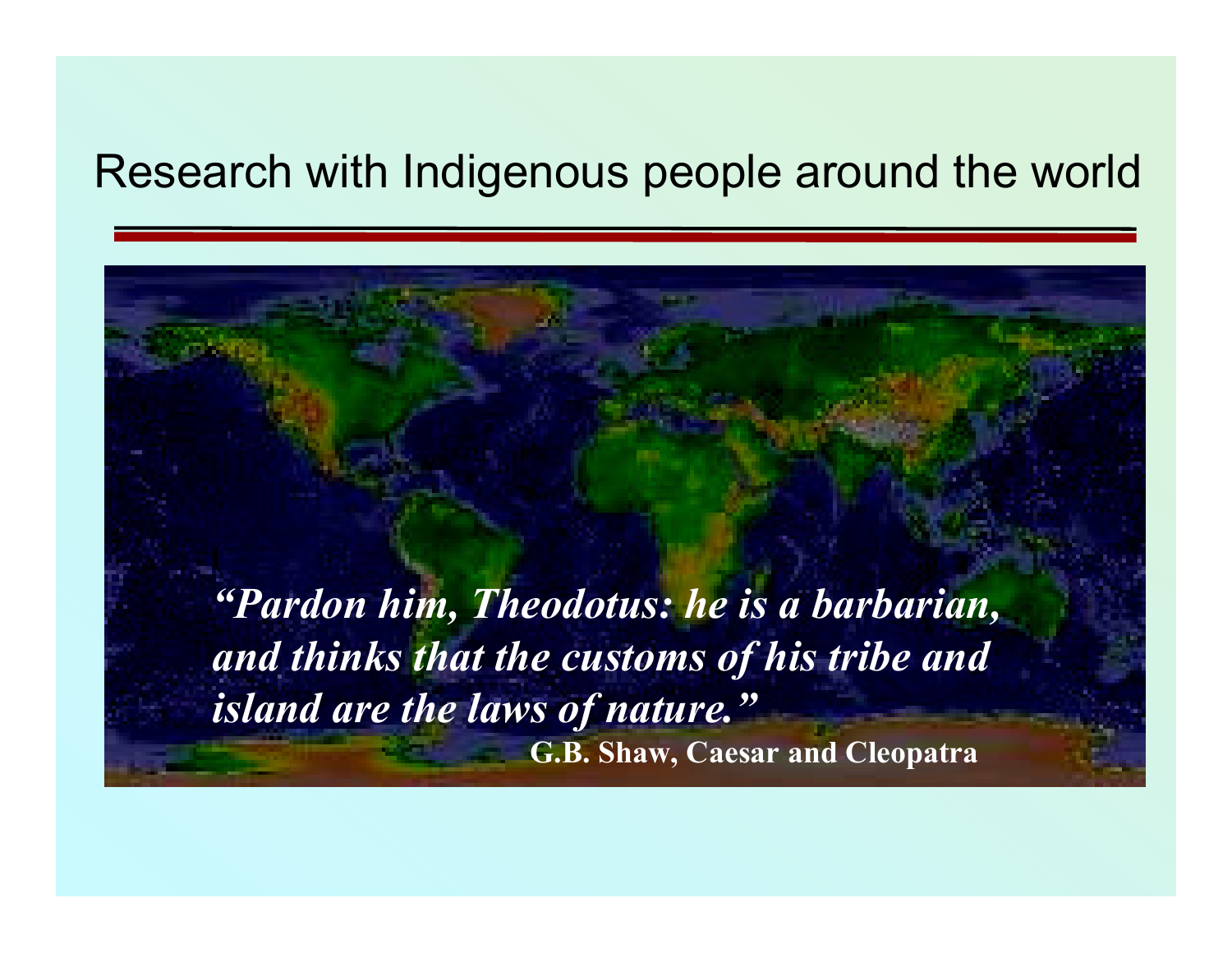#### Research with Indigenous people around the world

*"Pardon him, Theodotus: he is a barbarian, and thinks that the customs of his tribe and island are the laws of nature."* **G.B. Shaw, Caesar and Cleopatra**